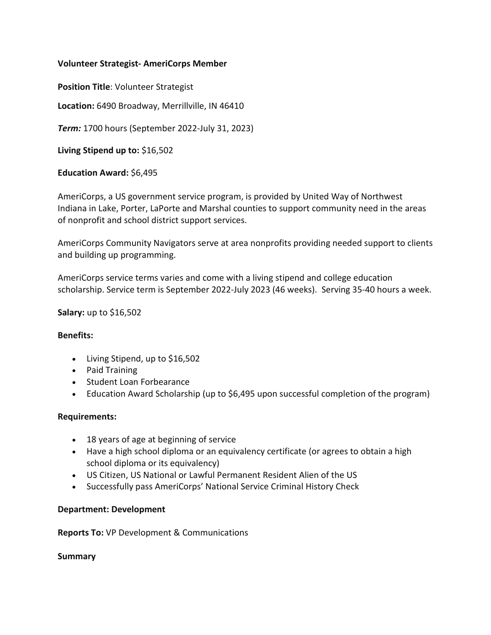### **Volunteer Strategist- AmeriCorps Member**

**Position Title**: Volunteer Strategist

**Location:** 6490 Broadway, Merrillville, IN 46410

*Term:* 1700 hours (September 2022-July 31, 2023)

**Living Stipend up to:** \$16,502

**Education Award:** \$6,495

AmeriCorps, a US government service program, is provided by United Way of Northwest Indiana in Lake, Porter, LaPorte and Marshal counties to support community need in the areas of nonprofit and school district support services.

AmeriCorps Community Navigators serve at area nonprofits providing needed support to clients and building up programming.

AmeriCorps service terms varies and come with a living stipend and college education scholarship. Service term is September 2022-July 2023 (46 weeks). Serving 35-40 hours a week.

#### **Salary:** up to \$16,502

#### **Benefits:**

- Living Stipend, up to \$16,502
- Paid Training
- Student Loan Forbearance
- Education Award Scholarship (up to \$6,495 upon successful completion of the program)

#### **Requirements:**

- 18 years of age at beginning of service
- Have a high school diploma or an equivalency certificate (or agrees to obtain a high school diploma or its equivalency)
- US Citizen, US National or Lawful Permanent Resident Alien of the US
- Successfully pass AmeriCorps' National Service Criminal History Check

#### **Department: Development**

**Reports To:** VP Development & Communications

**Summary**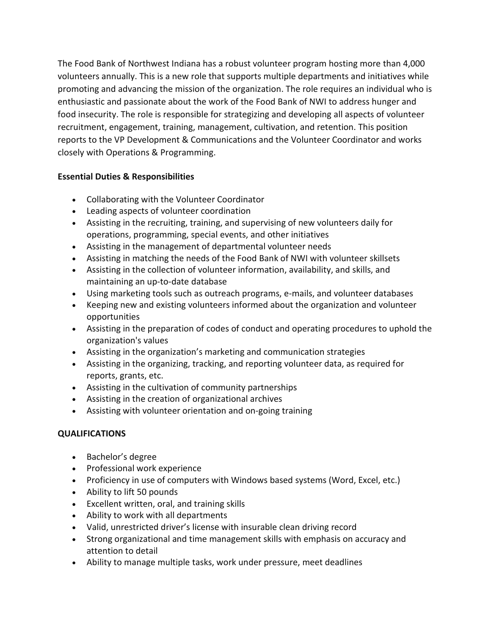The Food Bank of Northwest Indiana has a robust volunteer program hosting more than 4,000 volunteers annually. This is a new role that supports multiple departments and initiatives while promoting and advancing the mission of the organization. The role requires an individual who is enthusiastic and passionate about the work of the Food Bank of NWI to address hunger and food insecurity. The role is responsible for strategizing and developing all aspects of volunteer recruitment, engagement, training, management, cultivation, and retention. This position reports to the VP Development & Communications and the Volunteer Coordinator and works closely with Operations & Programming.

# **Essential Duties & Responsibilities**

- Collaborating with the Volunteer Coordinator
- Leading aspects of volunteer coordination
- Assisting in the recruiting, training, and supervising of new volunteers daily for operations, programming, special events, and other initiatives
- Assisting in the management of departmental volunteer needs
- Assisting in matching the needs of the Food Bank of NWI with volunteer skillsets
- Assisting in the collection of volunteer information, availability, and skills, and maintaining an up-to-date database
- Using marketing tools such as outreach programs, e-mails, and volunteer databases
- Keeping new and existing volunteers informed about the organization and volunteer opportunities
- Assisting in the preparation of codes of conduct and operating procedures to uphold the organization's values
- Assisting in the organization's marketing and communication strategies
- Assisting in the organizing, tracking, and reporting volunteer data, as required for reports, grants, etc.
- Assisting in the cultivation of community partnerships
- Assisting in the creation of organizational archives
- Assisting with volunteer orientation and on-going training

## **QUALIFICATIONS**

- Bachelor's degree
- Professional work experience
- Proficiency in use of computers with Windows based systems (Word, Excel, etc.)
- Ability to lift 50 pounds
- Excellent written, oral, and training skills
- Ability to work with all departments
- Valid, unrestricted driver's license with insurable clean driving record
- Strong organizational and time management skills with emphasis on accuracy and attention to detail
- Ability to manage multiple tasks, work under pressure, meet deadlines